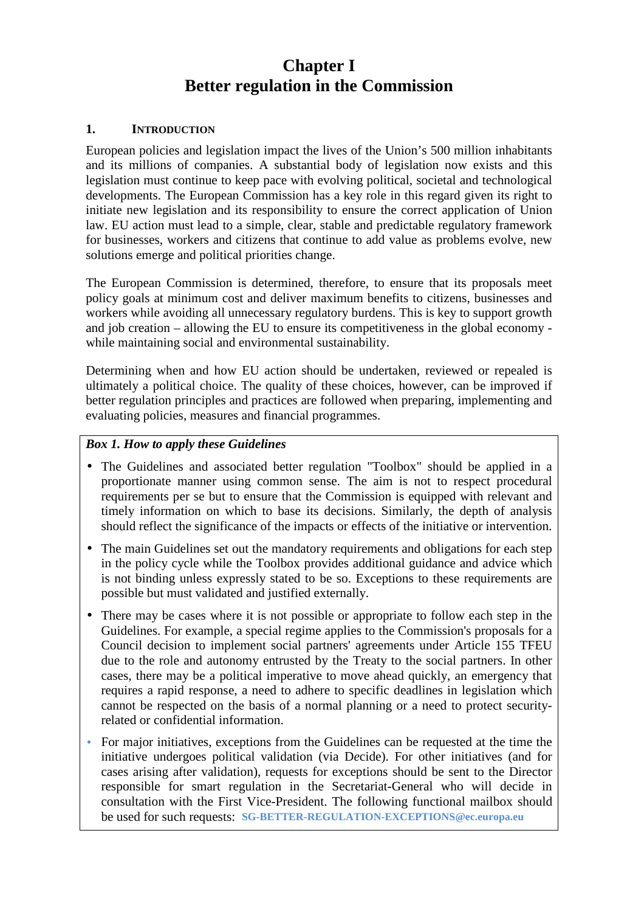# **Chapter I Better regulation in the Commission**

#### **1. INTRODUCTION**

European policies and legislation impact the lives of the Union's 500 million inhabitants and its millions of companies. A substantial body of legislation now exists and this legislation must continue to keep pace with evolving political, societal and technological developments. The European Commission has a key role in this regard given its right to initiate new legislation and its responsibility to ensure the correct application of Union law. EU action must lead to a simple, clear, stable and predictable regulatory framework for businesses, workers and citizens that continue to add value as problems evolve, new solutions emerge and political priorities change.

The European Commission is determined, therefore, to ensure that its proposals meet policy goals at minimum cost and deliver maximum benefits to citizens, businesses and workers while avoiding all unnecessary regulatory burdens. This is key to support growth and job creation – allowing the EU to ensure its competitiveness in the global economy while maintaining social and environmental sustainability.

Determining when and how EU action should be undertaken, reviewed or repealed is ultimately a political choice. The quality of these choices, however, can be improved if better regulation principles and practices are followed when preparing, implementing and evaluating policies, measures and financial programmes.

## *Box 1. How to apply these Guidelines*

- The Guidelines and associated better regulation "Toolbox" should be applied in a proportionate manner using common sense. The aim is not to respect procedural requirements per se but to ensure that the Commission is equipped with relevant and timely information on which to base its decisions. Similarly, the depth of analysis should reflect the significance of the impacts or effects of the initiative or intervention.
- The main Guidelines set out the mandatory requirements and obligations for each step in the policy cycle while the Toolbox provides additional guidance and advice which is not binding unless expressly stated to be so. Exceptions to these requirements are possible but must validated and justified externally.
- There may be cases where it is not possible or appropriate to follow each step in the Guidelines. For example, a special regime applies to the Commission's proposals for a Council decision to implement social partners' agreements under Article 155 TFEU due to the role and autonomy entrusted by the Treaty to the social partners. In other cases, there may be a political imperative to move ahead quickly, an emergency that requires a rapid response, a need to adhere to specific deadlines in legislation which cannot be respected on the basis of a normal planning or a need to protect securityrelated or confidential information.
- For major initiatives, exceptions from the Guidelines can be requested at the time the initiative undergoes political validation (via D*e*cide). For other initiatives (and for cases arising after validation), requests for exceptions should be sent to the Director responsible for smart regulation in the Secretariat-General who will decide in consultation with the First Vice-President. The following functional mailbox should be used for such requests: **SG-BETTER-REGULATION-EXCEPTIONS@ec.europa.eu**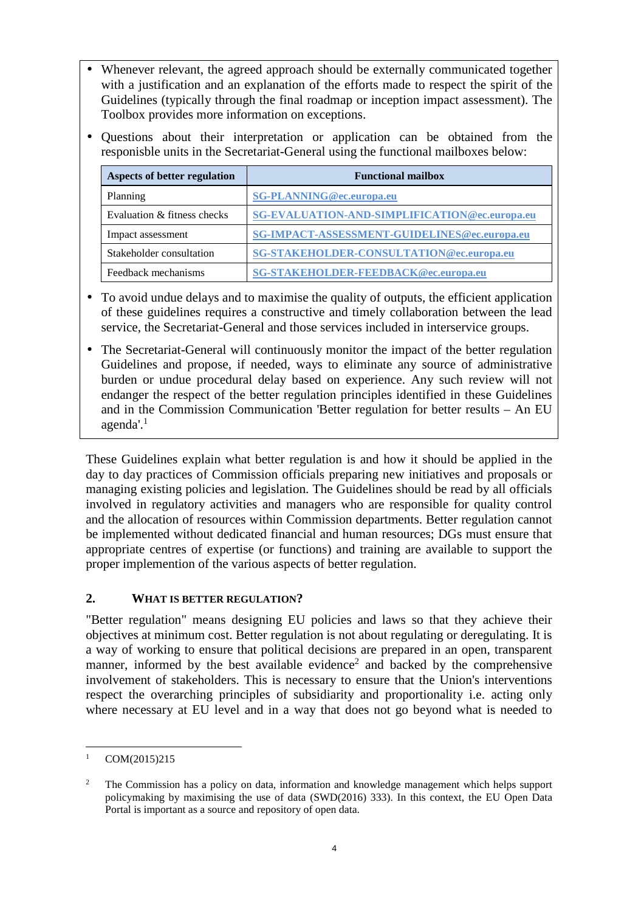- Whenever relevant, the agreed approach should be externally communicated together with a justification and an explanation of the efforts made to respect the spirit of the Guidelines (typically through the final roadmap or inception impact assessment). The Toolbox provides more information on exceptions.
- Questions about their interpretation or application can be obtained from the responisble units in the Secretariat-General using the functional mailboxes below:

| <b>Aspects of better regulation</b> | <b>Functional mailbox</b>                     |
|-------------------------------------|-----------------------------------------------|
| Planning                            | <b>SG-PLANNING@ec.europa.eu</b>               |
| Evaluation & fitness checks         | SG-EVALUATION-AND-SIMPLIFICATION@ec.europa.eu |
| Impact assessment                   | SG-IMPACT-ASSESSMENT-GUIDELINES@ec.europa.eu  |
| Stakeholder consultation            | SG-STAKEHOLDER-CONSULTATION@ec.europa.eu      |
| Feedback mechanisms                 | SG-STAKEHOLDER-FEEDBACK@ec.europa.eu          |

- To avoid undue delays and to maximise the quality of outputs, the efficient application of these guidelines requires a constructive and timely collaboration between the lead service, the Secretariat-General and those services included in interservice groups.
- The Secretariat-General will continuously monitor the impact of the better regulation Guidelines and propose, if needed, ways to eliminate any source of administrative burden or undue procedural delay based on experience. Any such review will not endanger the respect of the better regulation principles identified in these Guidelines and in the Commission Communication 'Better regulation for better results – An EU agenda'.<sup>1</sup>

These Guidelines explain what better regulation is and how it should be applied in the day to day practices of Commission officials preparing new initiatives and proposals or managing existing policies and legislation. The Guidelines should be read by all officials involved in regulatory activities and managers who are responsible for quality control and the allocation of resources within Commission departments. Better regulation cannot be implemented without dedicated financial and human resources; DGs must ensure that appropriate centres of expertise (or functions) and training are available to support the proper implemention of the various aspects of better regulation.

## **2. WHAT IS BETTER REGULATION?**

"Better regulation" means designing EU policies and laws so that they achieve their objectives at minimum cost. Better regulation is not about regulating or deregulating. It is a way of working to ensure that political decisions are prepared in an open, transparent manner, informed by the best available evidence<sup>2</sup> and backed by the comprehensive involvement of stakeholders. This is necessary to ensure that the Union's interventions respect the overarching principles of subsidiarity and proportionality i.e. acting only where necessary at EU level and in a way that does not go beyond what is needed to

 $\overline{a}$ 1 COM(2015)215

<sup>2</sup> The Commission has a policy on data, information and knowledge management which helps support policymaking by maximising the use of data (SWD(2016) 333). In this context, the EU Open Data Portal is important as a source and repository of open data.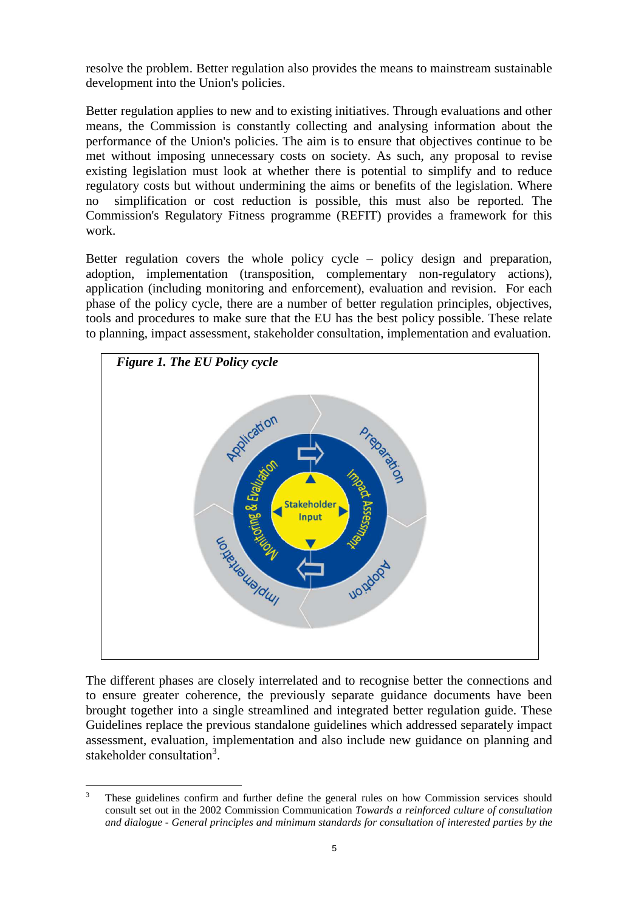resolve the problem. Better regulation also provides the means to mainstream sustainable development into the Union's policies.

Better regulation applies to new and to existing initiatives. Through evaluations and other means, the Commission is constantly collecting and analysing information about the performance of the Union's policies. The aim is to ensure that objectives continue to be met without imposing unnecessary costs on society. As such, any proposal to revise existing legislation must look at whether there is potential to simplify and to reduce regulatory costs but without undermining the aims or benefits of the legislation. Where no simplification or cost reduction is possible, this must also be reported. The Commission's Regulatory Fitness programme (REFIT) provides a framework for this work.

Better regulation covers the whole policy cycle – policy design and preparation, adoption, implementation (transposition, complementary non-regulatory actions), application (including monitoring and enforcement), evaluation and revision. For each phase of the policy cycle, there are a number of better regulation principles, objectives, tools and procedures to make sure that the EU has the best policy possible. These relate to planning, impact assessment, stakeholder consultation, implementation and evaluation.



The different phases are closely interrelated and to recognise better the connections and to ensure greater coherence, the previously separate guidance documents have been brought together into a single streamlined and integrated better regulation guide. These Guidelines replace the previous standalone guidelines which addressed separately impact assessment, evaluation, implementation and also include new guidance on planning and stakeholder consultation<sup>3</sup>.

 $\overline{a}$ 3 These guidelines confirm and further define the general rules on how Commission services should consult set out in the 2002 Commission Communication *Towards a reinforced culture of consultation and dialogue - General principles and minimum standards for consultation of interested parties by the*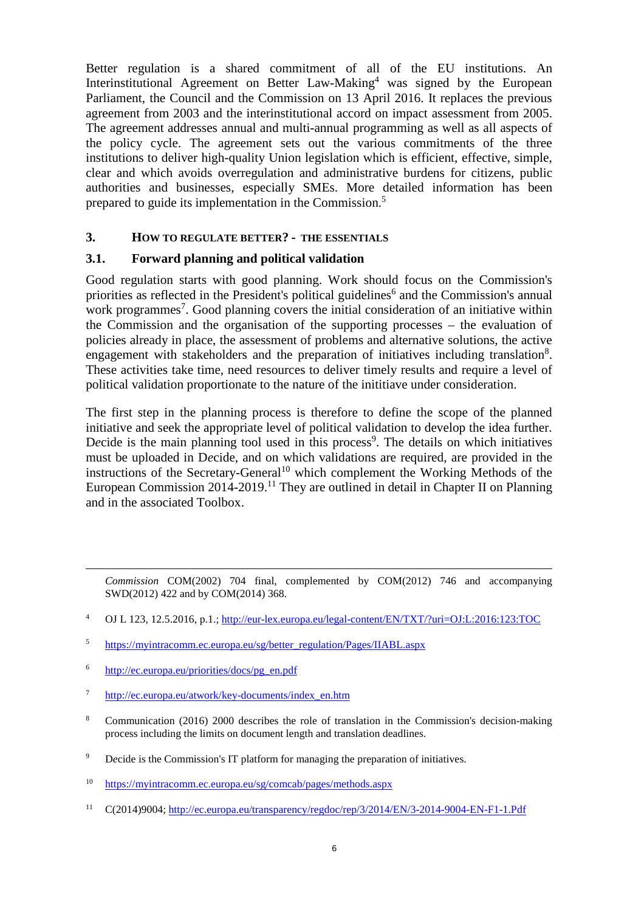Better regulation is a shared commitment of all of the EU institutions. An Interinstitutional Agreement on Better Law-Making<sup>4</sup> was signed by the European Parliament, the Council and the Commission on 13 April 2016. It replaces the previous agreement from 2003 and the interinstitutional accord on impact assessment from 2005. The agreement addresses annual and multi-annual programming as well as all aspects of the policy cycle. The agreement sets out the various commitments of the three institutions to deliver high-quality Union legislation which is efficient, effective, simple, clear and which avoids overregulation and administrative burdens for citizens, public authorities and businesses, especially SMEs. More detailed information has been prepared to guide its implementation in the Commission.<sup>5</sup>

#### **3. HOW TO REGULATE BETTER? - THE ESSENTIALS**

#### **3.1. Forward planning and political validation**

Good regulation starts with good planning. Work should focus on the Commission's priorities as reflected in the President's political guidelines<sup>6</sup> and the Commission's annual work programmes<sup>7</sup>. Good planning covers the initial consideration of an initiative within the Commission and the organisation of the supporting processes – the evaluation of policies already in place, the assessment of problems and alternative solutions, the active engagement with stakeholders and the preparation of initiatives including translation<sup>8</sup>. These activities take time, need resources to deliver timely results and require a level of political validation proportionate to the nature of the inititiave under consideration.

The first step in the planning process is therefore to define the scope of the planned initiative and seek the appropriate level of political validation to develop the idea further. Decide is the main planning tool used in this process<sup>9</sup>. The details on which initiatives must be uploaded in D*e*cide, and on which validations are required, are provided in the instructions of the Secretary-General<sup>10</sup> which complement the Working Methods of the European Commission 2014-2019.<sup>11</sup> They are outlined in detail in Chapter II on Planning and in the associated Toolbox.

*Commission* COM(2002) 704 final, complemented by COM(2012) 746 and accompanying SWD(2012) 422 and by COM(2014) 368.

- 4 OJ L 123, 12.5.2016, p.1.; http://eur-lex.europa.eu/legal-content/EN/TXT/?uri=OJ:L:2016:123:TOC
- 5 https://myintracomm.ec.europa.eu/sg/better\_regulation/Pages/IIABL.aspx
- 6 http://ec.europa.eu/priorities/docs/pg\_en.pdf

 $\overline{a}$ 

- 7 http://ec.europa.eu/atwork/key-documents/index\_en.htm
- 8 Communication (2016) 2000 describes the role of translation in the Commission's decision-making process including the limits on document length and translation deadlines.
- 9 D*e*cide is the Commission's IT platform for managing the preparation of initiatives.

11 C(2014)9004; http://ec.europa.eu/transparency/regdoc/rep/3/2014/EN/3-2014-9004-EN-F1-1.Pdf

<sup>10</sup> https://myintracomm.ec.europa.eu/sg/comcab/pages/methods.aspx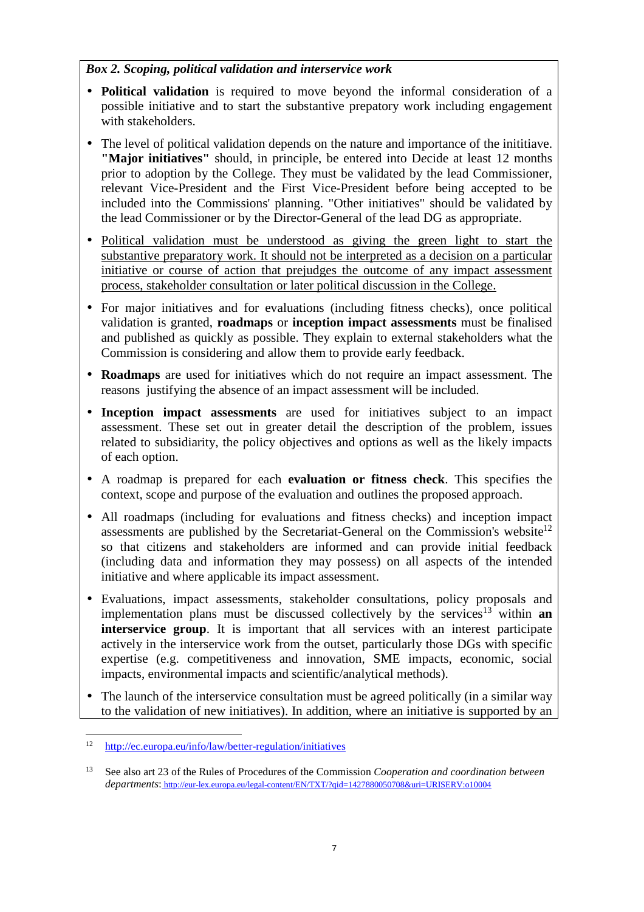## *Box 2. Scoping, political validation and interservice work*

- **Political validation** is required to move beyond the informal consideration of a possible initiative and to start the substantive prepatory work including engagement with stakeholders.
- The level of political validation depends on the nature and importance of the inititiave. **"Major initiatives"** should, in principle, be entered into D*e*cide at least 12 months prior to adoption by the College. They must be validated by the lead Commissioner, relevant Vice-President and the First Vice-President before being accepted to be included into the Commissions' planning. "Other initiatives" should be validated by the lead Commissioner or by the Director-General of the lead DG as appropriate.
- Political validation must be understood as giving the green light to start the substantive preparatory work. It should not be interpreted as a decision on a particular initiative or course of action that prejudges the outcome of any impact assessment process, stakeholder consultation or later political discussion in the College.
- For major initiatives and for evaluations (including fitness checks), once political validation is granted, **roadmaps** or **inception impact assessments** must be finalised and published as quickly as possible. They explain to external stakeholders what the Commission is considering and allow them to provide early feedback.
- **Roadmaps** are used for initiatives which do not require an impact assessment. The reasons justifying the absence of an impact assessment will be included.
- **Inception impact assessments** are used for initiatives subject to an impact assessment. These set out in greater detail the description of the problem, issues related to subsidiarity, the policy objectives and options as well as the likely impacts of each option.
- A roadmap is prepared for each **evaluation or fitness check**. This specifies the context, scope and purpose of the evaluation and outlines the proposed approach.
- All roadmaps (including for evaluations and fitness checks) and inception impact assessments are published by the Secretariat-General on the Commission's website<sup>12</sup> so that citizens and stakeholders are informed and can provide initial feedback (including data and information they may possess) on all aspects of the intended initiative and where applicable its impact assessment.
- Evaluations, impact assessments, stakeholder consultations, policy proposals and implementation plans must be discussed collectively by the services<sup>13</sup> within **an interservice group**. It is important that all services with an interest participate actively in the interservice work from the outset, particularly those DGs with specific expertise (e.g. competitiveness and innovation, SME impacts, economic, social impacts, environmental impacts and scientific/analytical methods).
- The launch of the interservice consultation must be agreed politically (in a similar way to the validation of new initiatives). In addition, where an initiative is supported by an

 $\overline{a}$ 12 http://ec.europa.eu/info/law/better-regulation/initiatives

<sup>13</sup> See also art 23 of the Rules of Procedures of the Commission *Cooperation and coordination between departments*: http://eur-lex.europa.eu/legal-content/EN/TXT/?qid=1427880050708&uri=URISERV:o10004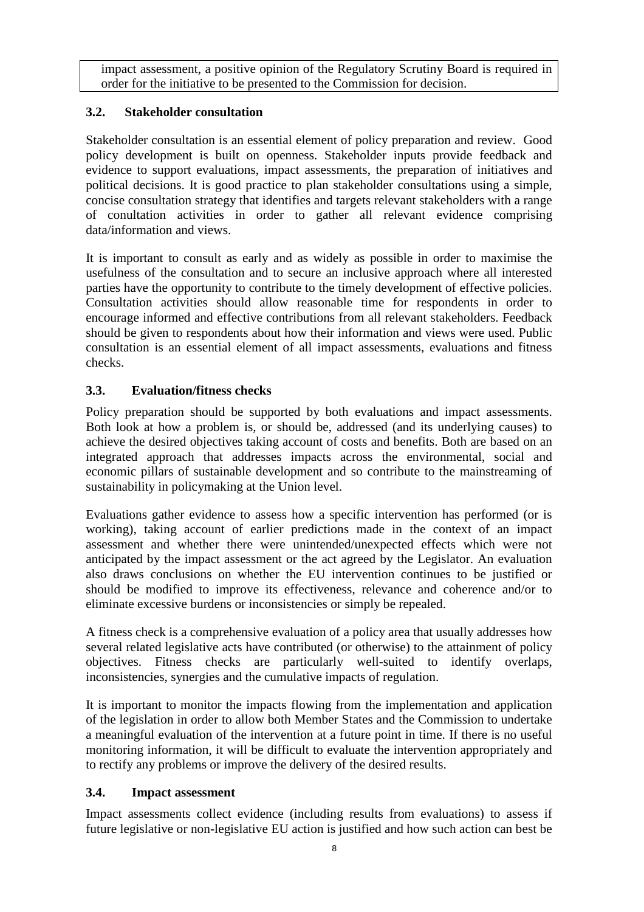impact assessment, a positive opinion of the Regulatory Scrutiny Board is required in order for the initiative to be presented to the Commission for decision.

# **3.2. Stakeholder consultation**

Stakeholder consultation is an essential element of policy preparation and review. Good policy development is built on openness. Stakeholder inputs provide feedback and evidence to support evaluations, impact assessments, the preparation of initiatives and political decisions. It is good practice to plan stakeholder consultations using a simple, concise consultation strategy that identifies and targets relevant stakeholders with a range of conultation activities in order to gather all relevant evidence comprising data/information and views.

It is important to consult as early and as widely as possible in order to maximise the usefulness of the consultation and to secure an inclusive approach where all interested parties have the opportunity to contribute to the timely development of effective policies. Consultation activities should allow reasonable time for respondents in order to encourage informed and effective contributions from all relevant stakeholders. Feedback should be given to respondents about how their information and views were used. Public consultation is an essential element of all impact assessments, evaluations and fitness checks.

# **3.3. Evaluation/fitness checks**

Policy preparation should be supported by both evaluations and impact assessments. Both look at how a problem is, or should be, addressed (and its underlying causes) to achieve the desired objectives taking account of costs and benefits. Both are based on an integrated approach that addresses impacts across the environmental, social and economic pillars of sustainable development and so contribute to the mainstreaming of sustainability in policymaking at the Union level.

Evaluations gather evidence to assess how a specific intervention has performed (or is working), taking account of earlier predictions made in the context of an impact assessment and whether there were unintended/unexpected effects which were not anticipated by the impact assessment or the act agreed by the Legislator. An evaluation also draws conclusions on whether the EU intervention continues to be justified or should be modified to improve its effectiveness, relevance and coherence and/or to eliminate excessive burdens or inconsistencies or simply be repealed.

A fitness check is a comprehensive evaluation of a policy area that usually addresses how several related legislative acts have contributed (or otherwise) to the attainment of policy objectives. Fitness checks are particularly well-suited to identify overlaps, inconsistencies, synergies and the cumulative impacts of regulation.

It is important to monitor the impacts flowing from the implementation and application of the legislation in order to allow both Member States and the Commission to undertake a meaningful evaluation of the intervention at a future point in time. If there is no useful monitoring information, it will be difficult to evaluate the intervention appropriately and to rectify any problems or improve the delivery of the desired results.

# **3.4. Impact assessment**

Impact assessments collect evidence (including results from evaluations) to assess if future legislative or non-legislative EU action is justified and how such action can best be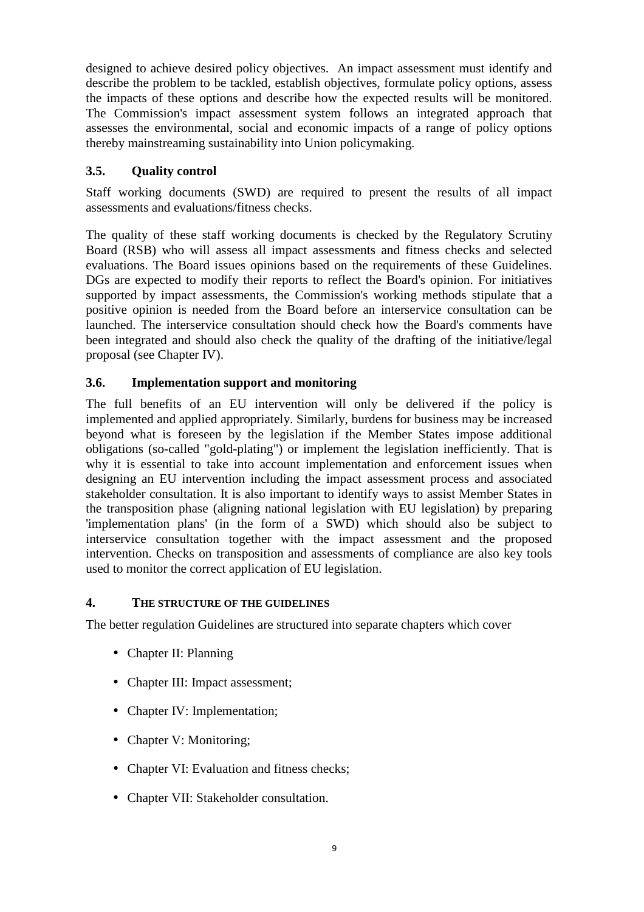designed to achieve desired policy objectives. An impact assessment must identify and describe the problem to be tackled, establish objectives, formulate policy options, assess the impacts of these options and describe how the expected results will be monitored. The Commission's impact assessment system follows an integrated approach that assesses the environmental, social and economic impacts of a range of policy options thereby mainstreaming sustainability into Union policymaking.

## **3.5. Quality control**

Staff working documents (SWD) are required to present the results of all impact assessments and evaluations/fitness checks.

The quality of these staff working documents is checked by the Regulatory Scrutiny Board (RSB) who will assess all impact assessments and fitness checks and selected evaluations. The Board issues opinions based on the requirements of these Guidelines. DGs are expected to modify their reports to reflect the Board's opinion. For initiatives supported by impact assessments, the Commission's working methods stipulate that a positive opinion is needed from the Board before an interservice consultation can be launched. The interservice consultation should check how the Board's comments have been integrated and should also check the quality of the drafting of the initiative/legal proposal (see Chapter IV).

## **3.6. Implementation support and monitoring**

The full benefits of an EU intervention will only be delivered if the policy is implemented and applied appropriately. Similarly, burdens for business may be increased beyond what is foreseen by the legislation if the Member States impose additional obligations (so-called "gold-plating") or implement the legislation inefficiently. That is why it is essential to take into account implementation and enforcement issues when designing an EU intervention including the impact assessment process and associated stakeholder consultation. It is also important to identify ways to assist Member States in the transposition phase (aligning national legislation with EU legislation) by preparing 'implementation plans' (in the form of a SWD) which should also be subject to interservice consultation together with the impact assessment and the proposed intervention. Checks on transposition and assessments of compliance are also key tools used to monitor the correct application of EU legislation.

## **4. THE STRUCTURE OF THE GUIDELINES**

The better regulation Guidelines are structured into separate chapters which cover

- Chapter II: Planning
- Chapter III: Impact assessment;
- Chapter IV: Implementation;
- Chapter V: Monitoring:
- Chapter VI: Evaluation and fitness checks:
- Chapter VII: Stakeholder consultation.